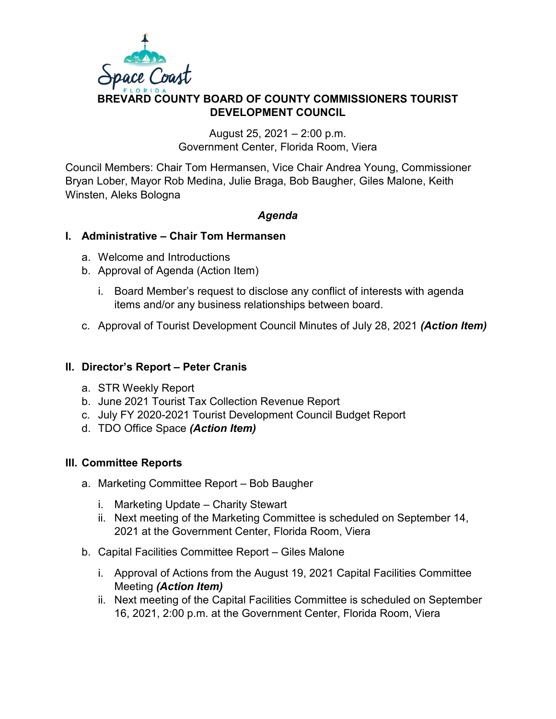

# **DEVELOPMENT COUNCIL** August 25, 2021 – 2:00 p.m.

Government Center, Florida Room, Viera

Council Members: Chair Tom Hermansen, Vice Chair Andrea Young, Commissioner Bryan Lober, Mayor Rob Medina, Julie Braga, Bob Baugher, Giles Malone, Keith Winsten, Aleks Bologna

## *Agenda*

### **I. Administrative – Chair Tom Hermansen**

- a. Welcome and Introductions
- b. Approval of Agenda (Action Item)
	- i. Board Member's request to disclose any conflict of interests with agenda items and/or any business relationships between board.
- c. Approval of Tourist Development Council Minutes of July 28, 2021 *(Action Item)*

### **II. Director's Report – Peter Cranis**

- a. STR Weekly Report
- b. June 2021 Tourist Tax Collection Revenue Report
- c. July FY 2020-2021 Tourist Development Council Budget Report
- d. TDO Office Space *(Action Item)*

### **III. Committee Reports**

- a. Marketing Committee Report Bob Baugher
	- i. Marketing Update Charity Stewart
	- ii. Next meeting of the Marketing Committee is scheduled on September 14, 2021 at the Government Center, Florida Room, Viera
- b. Capital Facilities Committee Report Giles Malone
	- i. Approval of Actions from the August 19, 2021 Capital Facilities Committee Meeting *(Action Item)*
	- ii. Next meeting of the Capital Facilities Committee is scheduled on September 16, 2021, 2:00 p.m. at the Government Center, Florida Room, Viera